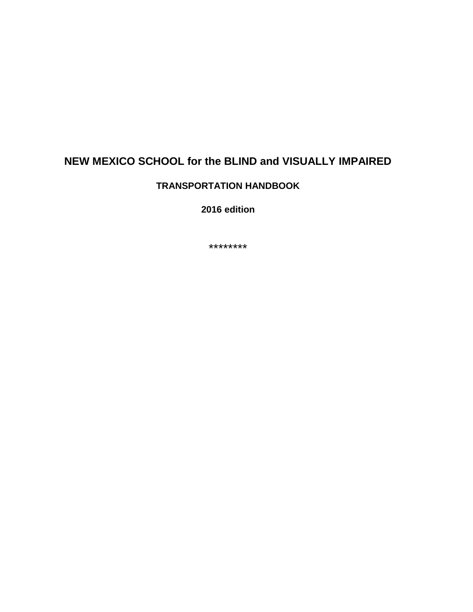## **NEW MEXICO SCHOOL for the BLIND and VISUALLY IMPAIRED**

### **TRANSPORTATION HANDBOOK**

**2016 edition**

\*\*\*\*\*\*\*\*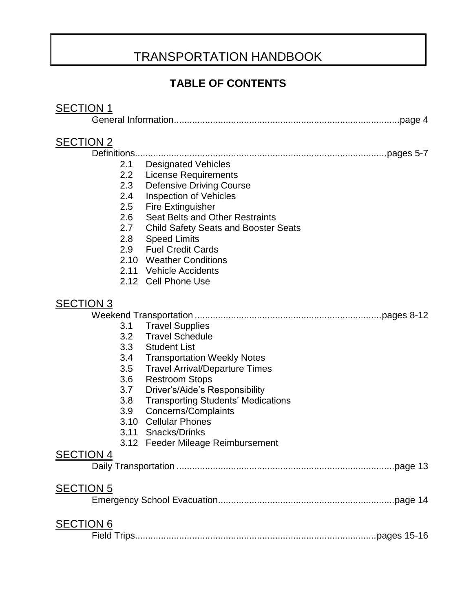# TRANSPORTATION HANDBOOK

## **TABLE OF CONTENTS**

## **SECTION 1**

|--|--|

## **SEC**

| <b>SECTION 2</b> |             |                                                                |          |
|------------------|-------------|----------------------------------------------------------------|----------|
|                  | Definitions |                                                                |          |
|                  | 2.1<br>2.2  | <b>Designated Vehicles</b>                                     |          |
|                  | 2.3         | <b>License Requirements</b><br><b>Defensive Driving Course</b> |          |
|                  | 2.4         | <b>Inspection of Vehicles</b>                                  |          |
|                  | 2.5         | <b>Fire Extinguisher</b>                                       |          |
|                  | 2.6         | <b>Seat Belts and Other Restraints</b>                         |          |
|                  | 2.7         | <b>Child Safety Seats and Booster Seats</b>                    |          |
|                  | 2.8         | <b>Speed Limits</b>                                            |          |
|                  | 2.9         | <b>Fuel Credit Cards</b>                                       |          |
|                  |             | 2.10 Weather Conditions                                        |          |
|                  |             | 2.11 Vehicle Accidents                                         |          |
|                  |             | 2.12 Cell Phone Use                                            |          |
| <b>SECTION 3</b> |             |                                                                |          |
|                  |             |                                                                |          |
|                  | 3.1         | <b>Travel Supplies</b>                                         |          |
|                  | 3.2         | <b>Travel Schedule</b>                                         |          |
|                  |             | 3.3 Student List                                               |          |
|                  | 3.4         | <b>Transportation Weekly Notes</b>                             |          |
|                  | 3.5         | <b>Travel Arrival/Departure Times</b>                          |          |
|                  | 3.6         | <b>Restroom Stops</b>                                          |          |
|                  | 3.7         | Driver's/Aide's Responsibility                                 |          |
|                  | 3.8         | <b>Transporting Students' Medications</b>                      |          |
|                  | 3.9         | Concerns/Complaints                                            |          |
|                  | 3.10        | <b>Cellular Phones</b>                                         |          |
|                  |             | 3.11 Snacks/Drinks                                             |          |
|                  |             | 3.12 Feeder Mileage Reimbursement                              |          |
| <b>SECTION 4</b> |             |                                                                |          |
|                  |             |                                                                | page 13. |
| <b>SECTION 5</b> |             |                                                                |          |
|                  |             |                                                                |          |
| <b>SECTION 6</b> |             |                                                                |          |
|                  |             |                                                                |          |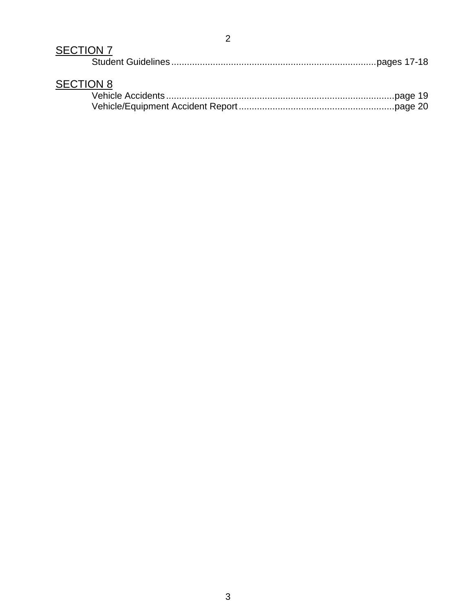# SECTION 7

| <b>SECTION 8</b> |  |
|------------------|--|
|                  |  |
|                  |  |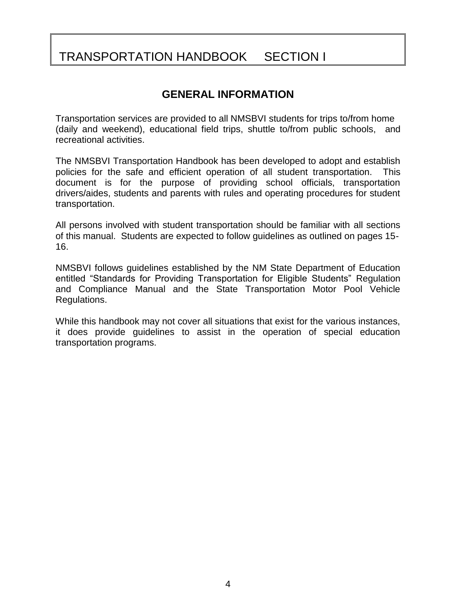# TRANSPORTATION HANDBOOK SECTION I

## **GENERAL INFORMATION**

Transportation services are provided to all NMSBVI students for trips to/from home (daily and weekend), educational field trips, shuttle to/from public schools, and recreational activities.

The NMSBVI Transportation Handbook has been developed to adopt and establish policies for the safe and efficient operation of all student transportation. This document is for the purpose of providing school officials, transportation drivers/aides, students and parents with rules and operating procedures for student transportation.

All persons involved with student transportation should be familiar with all sections of this manual. Students are expected to follow guidelines as outlined on pages 15- 16.

NMSBVI follows guidelines established by the NM State Department of Education entitled "Standards for Providing Transportation for Eligible Students" Regulation and Compliance Manual and the State Transportation Motor Pool Vehicle Regulations.

While this handbook may not cover all situations that exist for the various instances, it does provide guidelines to assist in the operation of special education transportation programs.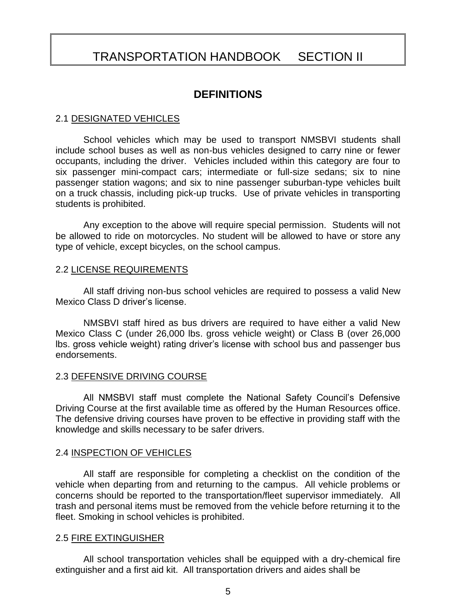## TRANSPORTATION HANDBOOK SECTION II

### **DEFINITIONS**

#### 2.1 DESIGNATED VEHICLES

School vehicles which may be used to transport NMSBVI students shall include school buses as well as non-bus vehicles designed to carry nine or fewer occupants, including the driver. Vehicles included within this category are four to six passenger mini-compact cars; intermediate or full-size sedans; six to nine passenger station wagons; and six to nine passenger suburban-type vehicles built on a truck chassis, including pick-up trucks. Use of private vehicles in transporting students is prohibited.

Any exception to the above will require special permission. Students will not be allowed to ride on motorcycles. No student will be allowed to have or store any type of vehicle, except bicycles, on the school campus.

#### 2.2 LICENSE REQUIREMENTS

All staff driving non-bus school vehicles are required to possess a valid New Mexico Class D driver's license.

NMSBVI staff hired as bus drivers are required to have either a valid New Mexico Class C (under 26,000 lbs. gross vehicle weight) or Class B (over 26,000 lbs. gross vehicle weight) rating driver's license with school bus and passenger bus endorsements.

#### 2.3 DEFENSIVE DRIVING COURSE

All NMSBVI staff must complete the National Safety Council's Defensive Driving Course at the first available time as offered by the Human Resources office. The defensive driving courses have proven to be effective in providing staff with the knowledge and skills necessary to be safer drivers.

#### 2.4 INSPECTION OF VEHICLES

All staff are responsible for completing a checklist on the condition of the vehicle when departing from and returning to the campus. All vehicle problems or concerns should be reported to the transportation/fleet supervisor immediately. All trash and personal items must be removed from the vehicle before returning it to the fleet. Smoking in school vehicles is prohibited.

#### 2.5 FIRE EXTINGUISHER

All school transportation vehicles shall be equipped with a dry-chemical fire extinguisher and a first aid kit. All transportation drivers and aides shall be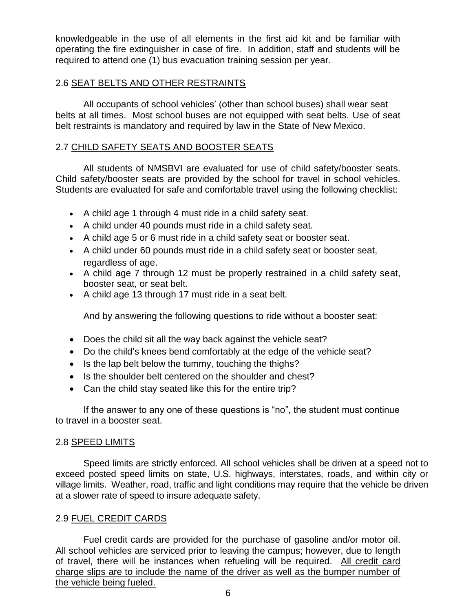knowledgeable in the use of all elements in the first aid kit and be familiar with operating the fire extinguisher in case of fire. In addition, staff and students will be required to attend one (1) bus evacuation training session per year.

#### 2.6 SEAT BELTS AND OTHER RESTRAINTS

All occupants of school vehicles' (other than school buses) shall wear seat belts at all times. Most school buses are not equipped with seat belts. Use of seat belt restraints is mandatory and required by law in the State of New Mexico.

#### 2.7 CHILD SAFETY SEATS AND BOOSTER SEATS

All students of NMSBVI are evaluated for use of child safety/booster seats. Child safety/booster seats are provided by the school for travel in school vehicles. Students are evaluated for safe and comfortable travel using the following checklist:

- A child age 1 through 4 must ride in a child safety seat.
- A child under 40 pounds must ride in a child safety seat.
- A child age 5 or 6 must ride in a child safety seat or booster seat.
- A child under 60 pounds must ride in a child safety seat or booster seat, regardless of age.
- A child age 7 through 12 must be properly restrained in a child safety seat, booster seat, or seat belt.
- A child age 13 through 17 must ride in a seat belt.

And by answering the following questions to ride without a booster seat:

- Does the child sit all the way back against the vehicle seat?
- Do the child's knees bend comfortably at the edge of the vehicle seat?
- $\bullet$  Is the lap belt below the tummy, touching the thighs?
- Is the shoulder belt centered on the shoulder and chest?
- Can the child stay seated like this for the entire trip?

If the answer to any one of these questions is "no", the student must continue to travel in a booster seat.

#### 2.8 SPEED LIMITS

Speed limits are strictly enforced. All school vehicles shall be driven at a speed not to exceed posted speed limits on state, U.S. highways, interstates, roads, and within city or village limits. Weather, road, traffic and light conditions may require that the vehicle be driven at a slower rate of speed to insure adequate safety.

#### 2.9 FUEL CREDIT CARDS

Fuel credit cards are provided for the purchase of gasoline and/or motor oil. All school vehicles are serviced prior to leaving the campus; however, due to length of travel, there will be instances when refueling will be required. All credit card charge slips are to include the name of the driver as well as the bumper number of the vehicle being fueled.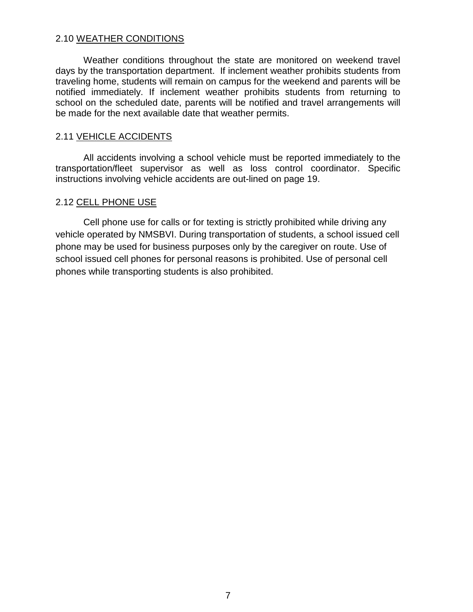#### 2.10 WEATHER CONDITIONS

Weather conditions throughout the state are monitored on weekend travel days by the transportation department. If inclement weather prohibits students from traveling home, students will remain on campus for the weekend and parents will be notified immediately. If inclement weather prohibits students from returning to school on the scheduled date, parents will be notified and travel arrangements will be made for the next available date that weather permits.

#### 2.11 VEHICLE ACCIDENTS

All accidents involving a school vehicle must be reported immediately to the transportation/fleet supervisor as well as loss control coordinator. Specific instructions involving vehicle accidents are out-lined on page 19.

#### 2.12 CELL PHONE USE

Cell phone use for calls or for texting is strictly prohibited while driving any vehicle operated by NMSBVI. During transportation of students, a school issued cell phone may be used for business purposes only by the caregiver on route. Use of school issued cell phones for personal reasons is prohibited. Use of personal cell phones while transporting students is also prohibited.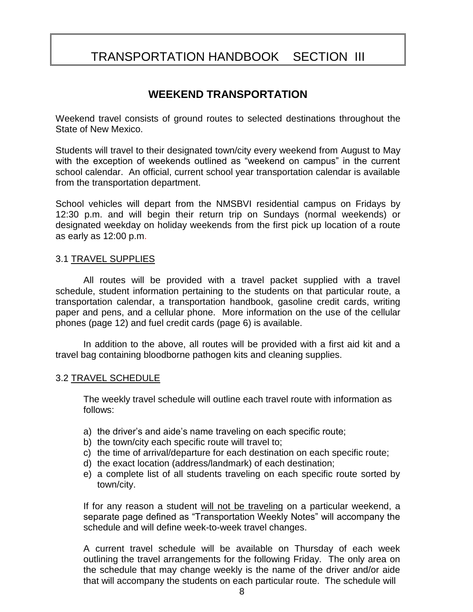# TRANSPORTATION HANDBOOK SECTION III

### **WEEKEND TRANSPORTATION**

Weekend travel consists of ground routes to selected destinations throughout the State of New Mexico.

Students will travel to their designated town/city every weekend from August to May with the exception of weekends outlined as "weekend on campus" in the current school calendar. An official, current school year transportation calendar is available from the transportation department.

School vehicles will depart from the NMSBVI residential campus on Fridays by 12:30 p.m. and will begin their return trip on Sundays (normal weekends) or designated weekday on holiday weekends from the first pick up location of a route as early as 12:00 p.m.

#### 3.1 TRAVEL SUPPLIES

All routes will be provided with a travel packet supplied with a travel schedule, student information pertaining to the students on that particular route, a transportation calendar, a transportation handbook, gasoline credit cards, writing paper and pens, and a cellular phone. More information on the use of the cellular phones (page 12) and fuel credit cards (page 6) is available.

In addition to the above, all routes will be provided with a first aid kit and a travel bag containing bloodborne pathogen kits and cleaning supplies.

#### 3.2 TRAVEL SCHEDULE

The weekly travel schedule will outline each travel route with information as follows:

- a) the driver's and aide's name traveling on each specific route;
- b) the town/city each specific route will travel to;
- c) the time of arrival/departure for each destination on each specific route;
- d) the exact location (address/landmark) of each destination;
- e) a complete list of all students traveling on each specific route sorted by town/city.

If for any reason a student will not be traveling on a particular weekend, a separate page defined as "Transportation Weekly Notes" will accompany the schedule and will define week-to-week travel changes.

A current travel schedule will be available on Thursday of each week outlining the travel arrangements for the following Friday. The only area on the schedule that may change weekly is the name of the driver and/or aide that will accompany the students on each particular route. The schedule will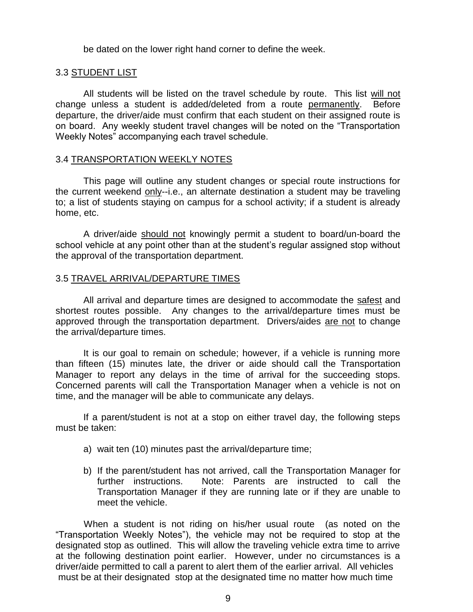be dated on the lower right hand corner to define the week.

#### 3.3 STUDENT LIST

All students will be listed on the travel schedule by route. This list will not change unless a student is added/deleted from a route permanently. Before departure, the driver/aide must confirm that each student on their assigned route is on board. Any weekly student travel changes will be noted on the "Transportation Weekly Notes" accompanying each travel schedule.

#### 3.4 TRANSPORTATION WEEKLY NOTES

This page will outline any student changes or special route instructions for the current weekend only--i.e., an alternate destination a student may be traveling to; a list of students staying on campus for a school activity; if a student is already home, etc.

A driver/aide should not knowingly permit a student to board/un-board the school vehicle at any point other than at the student's regular assigned stop without the approval of the transportation department.

#### 3.5 TRAVEL ARRIVAL/DEPARTURE TIMES

All arrival and departure times are designed to accommodate the safest and shortest routes possible. Any changes to the arrival/departure times must be approved through the transportation department. Drivers/aides are not to change the arrival/departure times.

It is our goal to remain on schedule; however, if a vehicle is running more than fifteen (15) minutes late, the driver or aide should call the Transportation Manager to report any delays in the time of arrival for the succeeding stops. Concerned parents will call the Transportation Manager when a vehicle is not on time, and the manager will be able to communicate any delays.

If a parent/student is not at a stop on either travel day, the following steps must be taken:

- a) wait ten (10) minutes past the arrival/departure time;
- b) If the parent/student has not arrived, call the Transportation Manager for further instructions. Note: Parents are instructed to call the Transportation Manager if they are running late or if they are unable to meet the vehicle.

 When a student is not riding on his/her usual route (as noted on the "Transportation Weekly Notes"), the vehicle may not be required to stop at the designated stop as outlined. This will allow the traveling vehicle extra time to arrive at the following destination point earlier. However, under no circumstances is a driver/aide permitted to call a parent to alert them of the earlier arrival. All vehicles must be at their designated stop at the designated time no matter how much time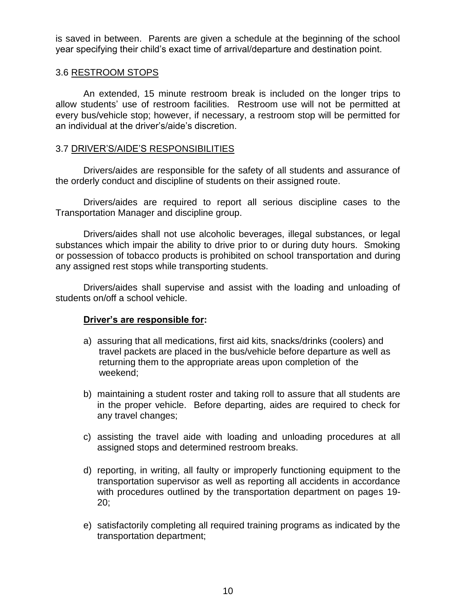is saved in between. Parents are given a schedule at the beginning of the school year specifying their child's exact time of arrival/departure and destination point.

#### 3.6 RESTROOM STOPS

An extended, 15 minute restroom break is included on the longer trips to allow students' use of restroom facilities. Restroom use will not be permitted at every bus/vehicle stop; however, if necessary, a restroom stop will be permitted for an individual at the driver's/aide's discretion.

#### 3.7 DRIVER'S/AIDE'S RESPONSIBILITIES

Drivers/aides are responsible for the safety of all students and assurance of the orderly conduct and discipline of students on their assigned route.

Drivers/aides are required to report all serious discipline cases to the Transportation Manager and discipline group.

Drivers/aides shall not use alcoholic beverages, illegal substances, or legal substances which impair the ability to drive prior to or during duty hours. Smoking or possession of tobacco products is prohibited on school transportation and during any assigned rest stops while transporting students.

Drivers/aides shall supervise and assist with the loading and unloading of students on/off a school vehicle.

#### **Driver's are responsible for:**

- a) assuring that all medications, first aid kits, snacks/drinks (coolers) and travel packets are placed in the bus/vehicle before departure as well as returning them to the appropriate areas upon completion of the weekend;
- b) maintaining a student roster and taking roll to assure that all students are in the proper vehicle. Before departing, aides are required to check for any travel changes;
- c) assisting the travel aide with loading and unloading procedures at all assigned stops and determined restroom breaks.
- d) reporting, in writing, all faulty or improperly functioning equipment to the transportation supervisor as well as reporting all accidents in accordance with procedures outlined by the transportation department on pages 19- 20;
- e) satisfactorily completing all required training programs as indicated by the transportation department;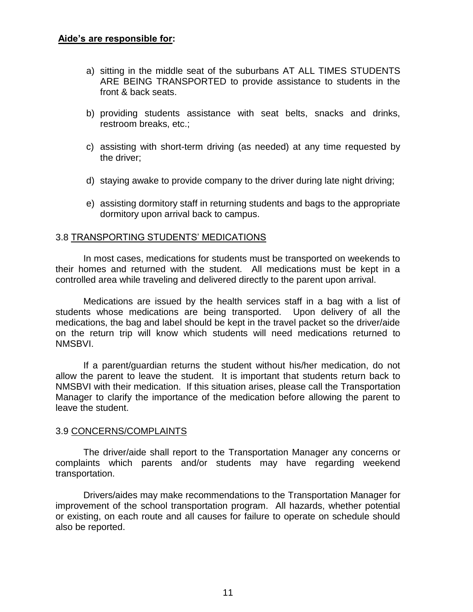- a) sitting in the middle seat of the suburbans AT ALL TIMES STUDENTS ARE BEING TRANSPORTED to provide assistance to students in the front & back seats.
- b) providing students assistance with seat belts, snacks and drinks, restroom breaks, etc.;
- c) assisting with short-term driving (as needed) at any time requested by the driver;
- d) staying awake to provide company to the driver during late night driving;
- e) assisting dormitory staff in returning students and bags to the appropriate dormitory upon arrival back to campus.

#### 3.8 TRANSPORTING STUDENTS' MEDICATIONS

In most cases, medications for students must be transported on weekends to their homes and returned with the student. All medications must be kept in a controlled area while traveling and delivered directly to the parent upon arrival.

Medications are issued by the health services staff in a bag with a list of students whose medications are being transported. Upon delivery of all the medications, the bag and label should be kept in the travel packet so the driver/aide on the return trip will know which students will need medications returned to NMSBVI.

If a parent/guardian returns the student without his/her medication, do not allow the parent to leave the student. It is important that students return back to NMSBVI with their medication. If this situation arises, please call the Transportation Manager to clarify the importance of the medication before allowing the parent to leave the student.

#### 3.9 CONCERNS/COMPLAINTS

The driver/aide shall report to the Transportation Manager any concerns or complaints which parents and/or students may have regarding weekend transportation.

Drivers/aides may make recommendations to the Transportation Manager for improvement of the school transportation program. All hazards, whether potential or existing, on each route and all causes for failure to operate on schedule should also be reported.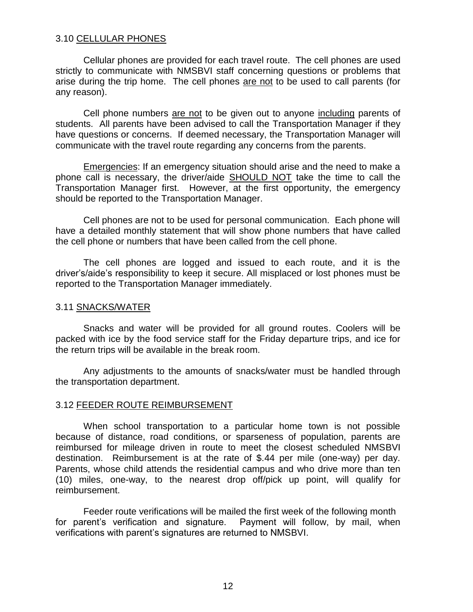#### 3.10 CELLULAR PHONES

Cellular phones are provided for each travel route. The cell phones are used strictly to communicate with NMSBVI staff concerning questions or problems that arise during the trip home. The cell phones are not to be used to call parents (for any reason).

Cell phone numbers are not to be given out to anyone including parents of students. All parents have been advised to call the Transportation Manager if they have questions or concerns. If deemed necessary, the Transportation Manager will communicate with the travel route regarding any concerns from the parents.

Emergencies: If an emergency situation should arise and the need to make a phone call is necessary, the driver/aide SHOULD NOT take the time to call the Transportation Manager first. However, at the first opportunity, the emergency should be reported to the Transportation Manager.

Cell phones are not to be used for personal communication. Each phone will have a detailed monthly statement that will show phone numbers that have called the cell phone or numbers that have been called from the cell phone.

The cell phones are logged and issued to each route, and it is the driver's/aide's responsibility to keep it secure. All misplaced or lost phones must be reported to the Transportation Manager immediately.

#### 3.11 SNACKS/WATER

Snacks and water will be provided for all ground routes. Coolers will be packed with ice by the food service staff for the Friday departure trips, and ice for the return trips will be available in the break room.

Any adjustments to the amounts of snacks/water must be handled through the transportation department.

#### 3.12 FEEDER ROUTE REIMBURSEMENT

When school transportation to a particular home town is not possible because of distance, road conditions, or sparseness of population, parents are reimbursed for mileage driven in route to meet the closest scheduled NMSBVI destination. Reimbursement is at the rate of \$.44 per mile (one-way) per day. Parents, whose child attends the residential campus and who drive more than ten (10) miles, one-way, to the nearest drop off/pick up point, will qualify for reimbursement.

Feeder route verifications will be mailed the first week of the following month for parent's verification and signature. Payment will follow, by mail, when verifications with parent's signatures are returned to NMSBVI.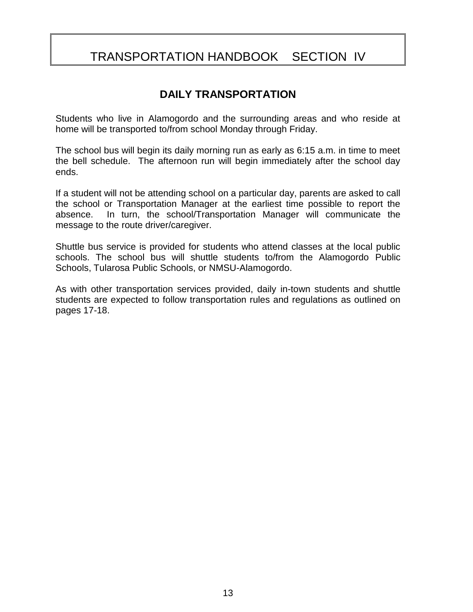# TRANSPORTATION HANDBOOK SECTION IV

## **DAILY TRANSPORTATION**

Students who live in Alamogordo and the surrounding areas and who reside at home will be transported to/from school Monday through Friday.

The school bus will begin its daily morning run as early as 6:15 a.m. in time to meet the bell schedule. The afternoon run will begin immediately after the school day ends.

If a student will not be attending school on a particular day, parents are asked to call the school or Transportation Manager at the earliest time possible to report the absence. In turn, the school/Transportation Manager will communicate the message to the route driver/caregiver.

Shuttle bus service is provided for students who attend classes at the local public schools. The school bus will shuttle students to/from the Alamogordo Public Schools, Tularosa Public Schools, or NMSU-Alamogordo.

As with other transportation services provided, daily in-town students and shuttle students are expected to follow transportation rules and regulations as outlined on pages 17-18.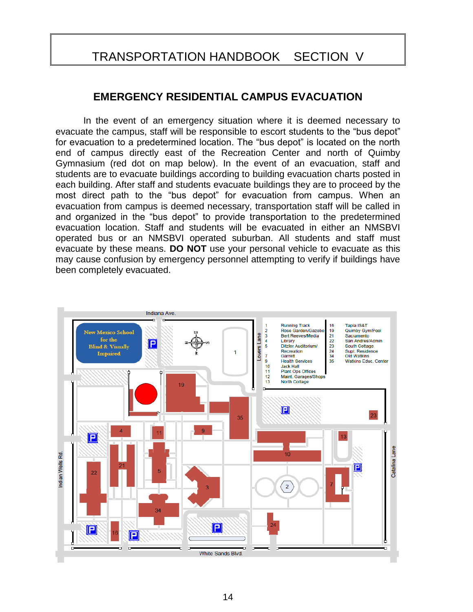## TRANSPORTATION HANDBOOK SECTION V

### **EMERGENCY RESIDENTIAL CAMPUS EVACUATION**

In the event of an emergency situation where it is deemed necessary to evacuate the campus, staff will be responsible to escort students to the "bus depot" for evacuation to a predetermined location. The "bus depot" is located on the north end of campus directly east of the Recreation Center and north of Quimby Gymnasium (red dot on map below). In the event of an evacuation, staff and students are to evacuate buildings according to building evacuation charts posted in each building. After staff and students evacuate buildings they are to proceed by the most direct path to the "bus depot" for evacuation from campus. When an evacuation from campus is deemed necessary, transportation staff will be called in and organized in the "bus depot" to provide transportation to the predetermined evacuation location. Staff and students will be evacuated in either an NMSBVI operated bus or an NMSBVI operated suburban. All students and staff must evacuate by these means. **DO NOT** use your personal vehicle to evacuate as this may cause confusion by emergency personnel attempting to verify if buildings have been completely evacuated.

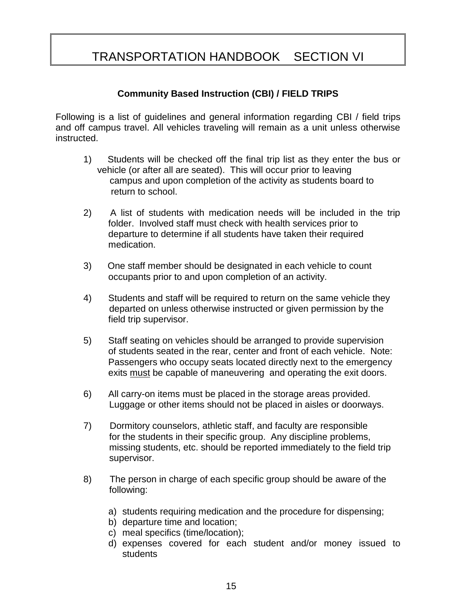# TRANSPORTATION HANDBOOK SECTION VI

#### **Community Based Instruction (CBI) / FIELD TRIPS**

Following is a list of guidelines and general information regarding CBI / field trips and off campus travel. All vehicles traveling will remain as a unit unless otherwise instructed.

- 1) Students will be checked off the final trip list as they enter the bus or vehicle (or after all are seated). This will occur prior to leaving campus and upon completion of the activity as students board to return to school.
- 2) A list of students with medication needs will be included in the trip folder. Involved staff must check with health services prior to departure to determine if all students have taken their required medication.
- 3) One staff member should be designated in each vehicle to count occupants prior to and upon completion of an activity.
- 4) Students and staff will be required to return on the same vehicle they departed on unless otherwise instructed or given permission by the field trip supervisor.
- 5) Staff seating on vehicles should be arranged to provide supervision of students seated in the rear, center and front of each vehicle. Note: Passengers who occupy seats located directly next to the emergency exits must be capable of maneuvering and operating the exit doors.
- 6) All carry-on items must be placed in the storage areas provided. Luggage or other items should not be placed in aisles or doorways.
- 7) Dormitory counselors, athletic staff, and faculty are responsible for the students in their specific group. Any discipline problems, missing students, etc. should be reported immediately to the field trip supervisor.
- 8) The person in charge of each specific group should be aware of the following:
	- a) students requiring medication and the procedure for dispensing;
	- b) departure time and location;
	- c) meal specifics (time/location);
	- d) expenses covered for each student and/or money issued to students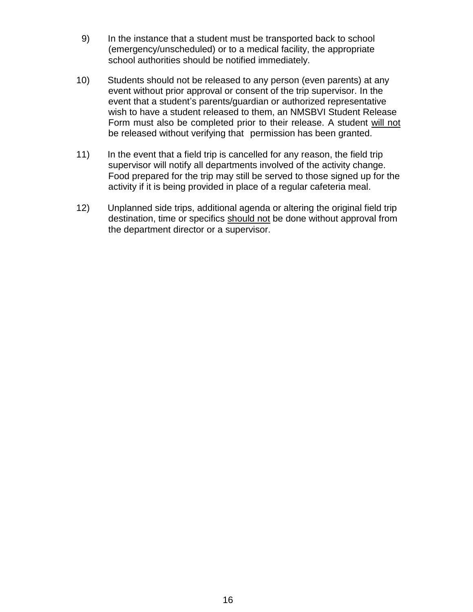- 9) In the instance that a student must be transported back to school (emergency/unscheduled) or to a medical facility, the appropriate school authorities should be notified immediately.
- 10) Students should not be released to any person (even parents) at any event without prior approval or consent of the trip supervisor. In the event that a student's parents/guardian or authorized representative wish to have a student released to them, an NMSBVI Student Release Form must also be completed prior to their release. A student will not be released without verifying that permission has been granted.
- 11) In the event that a field trip is cancelled for any reason, the field trip supervisor will notify all departments involved of the activity change. Food prepared for the trip may still be served to those signed up for the activity if it is being provided in place of a regular cafeteria meal.
- 12) Unplanned side trips, additional agenda or altering the original field trip destination, time or specifics should not be done without approval from the department director or a supervisor.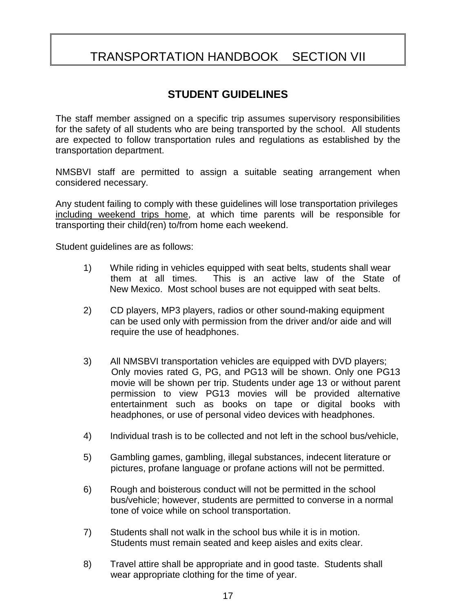# TRANSPORTATION HANDBOOK SECTION VII

## **STUDENT GUIDELINES**

The staff member assigned on a specific trip assumes supervisory responsibilities for the safety of all students who are being transported by the school. All students are expected to follow transportation rules and regulations as established by the transportation department.

NMSBVI staff are permitted to assign a suitable seating arrangement when considered necessary.

Any student failing to comply with these guidelines will lose transportation privileges including weekend trips home, at which time parents will be responsible for transporting their child(ren) to/from home each weekend.

Student guidelines are as follows:

- 1) While riding in vehicles equipped with seat belts, students shall wear them at all times. This is an active law of the State of New Mexico. Most school buses are not equipped with seat belts.
- 2) CD players, MP3 players, radios or other sound-making equipment can be used only with permission from the driver and/or aide and will require the use of headphones.
- 3) All NMSBVI transportation vehicles are equipped with DVD players; Only movies rated G, PG, and PG13 will be shown. Only one PG13 movie will be shown per trip. Students under age 13 or without parent permission to view PG13 movies will be provided alternative entertainment such as books on tape or digital books with headphones, or use of personal video devices with headphones.
- 4) Individual trash is to be collected and not left in the school bus/vehicle,
- 5) Gambling games, gambling, illegal substances, indecent literature or pictures, profane language or profane actions will not be permitted.
- 6) Rough and boisterous conduct will not be permitted in the school bus/vehicle; however, students are permitted to converse in a normal tone of voice while on school transportation.
- 7) Students shall not walk in the school bus while it is in motion. Students must remain seated and keep aisles and exits clear.
- 8) Travel attire shall be appropriate and in good taste. Students shall wear appropriate clothing for the time of year.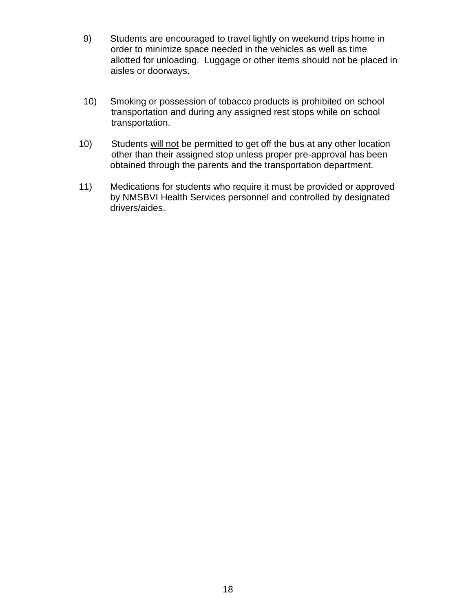- 9) Students are encouraged to travel lightly on weekend trips home in order to minimize space needed in the vehicles as well as time allotted for unloading. Luggage or other items should not be placed in aisles or doorways.
- 10) Smoking or possession of tobacco products is prohibited on school transportation and during any assigned rest stops while on school transportation.
- 10) Students will not be permitted to get off the bus at any other location other than their assigned stop unless proper pre-approval has been obtained through the parents and the transportation department.
- 11) Medications for students who require it must be provided or approved by NMSBVI Health Services personnel and controlled by designated drivers/aides.